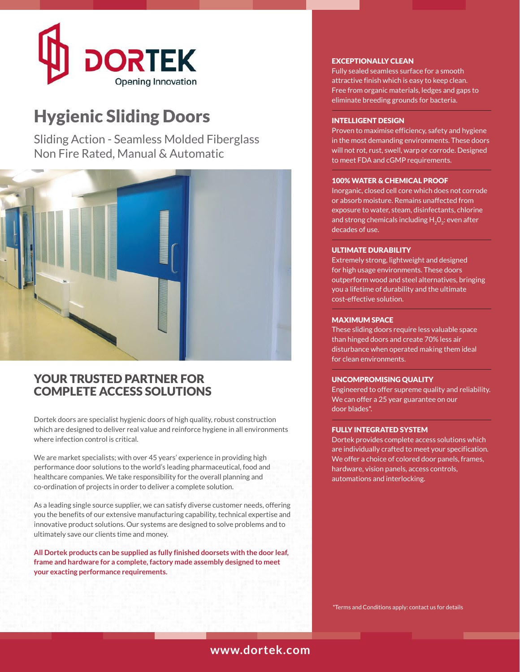

# Hygienic Sliding Doors

Sliding Action - Seamless Molded Fiberglass Non Fire Rated, Manual & Automatic



# YOUR TRUSTED PARTNER FOR COMPLETE ACCESS SOLUTIONS

Dortek doors are specialist hygienic doors of high quality, robust construction which are designed to deliver real value and reinforce hygiene in all environments where infection control is critical.

We are market specialists; with over 45 years' experience in providing high performance door solutions to the world's leading pharmaceutical, food and healthcare companies. We take responsibility for the overall planning and co-ordination of projects in order to deliver a complete solution.

As a leading single source supplier, we can satisfy diverse customer needs, offering you the benefits of our extensive manufacturing capability, technical expertise and innovative product solutions. Our systems are designed to solve problems and to ultimately save our clients time and money.

**All Dortek products can be supplied as fully finished doorsets with the door leaf, frame and hardware for a complete, factory made assembly designed to meet your exacting performance requirements.**

### EXCEPTIONALLY CLEAN

Fully sealed seamless surface for a smooth attractive finish which is easy to keep clean. Free from organic materials, ledges and gaps to eliminate breeding grounds for bacteria.

### INTELLIGENT DESIGN

Proven to maximise efficiency, safety and hygiene in the most demanding environments. These doors will not rot, rust, swell, warp or corrode. Designed to meet FDA and cGMP requirements.

#### 100% WATER & CHEMICAL PROOF

Inorganic, closed cell core which does not corrode or absorb moisture. Remains unaffected from exposure to water, steam, disinfectants, chlorine and strong chemicals including  $H_2O_2$ : even after decades of use.

#### ULTIMATE DURABILITY

Extremely strong, lightweight and designed for high usage environments. These doors outperform wood and steel alternatives, bringing you a lifetime of durability and the ultimate cost-effective solution.

#### MAXIMUM SPACE

These sliding doors require less valuable space than hinged doors and create 70% less air disturbance when operated making them ideal for clean environments.

#### UNCOMPROMISING QUALITY

Engineered to offer supreme quality and reliability. We can offer a 25 year guarantee on our door blades\*.

#### FULLY INTEGRATED SYSTEM

Dortek provides complete access solutions which are individually crafted to meet your specification. We offer a choice of colored door panels, frames, hardware, vision panels, access controls, automations and interlocking.

\* Terms and Conditions apply: contact us for details

# **www.dortek.com**